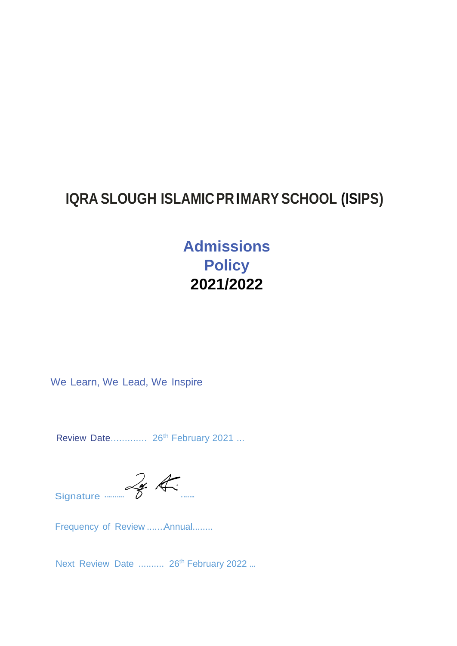# **IQRA SLOUGH ISLAMICPR IMARY SCHOOL (ISIPS)**

**Admissions Policy 2021/2022**

We Learn, We Lead, We Inspire

Review Date............... 26<sup>th</sup> February 2021 ...

 $Signature$   $\mathscr{L}_{\mathscr{L}}$   $\mathscr{L}_{\mathscr{L}}$ 

Frequency of Review .......Annual........

Next Review Date .......... 26<sup>th</sup> February 2022 ...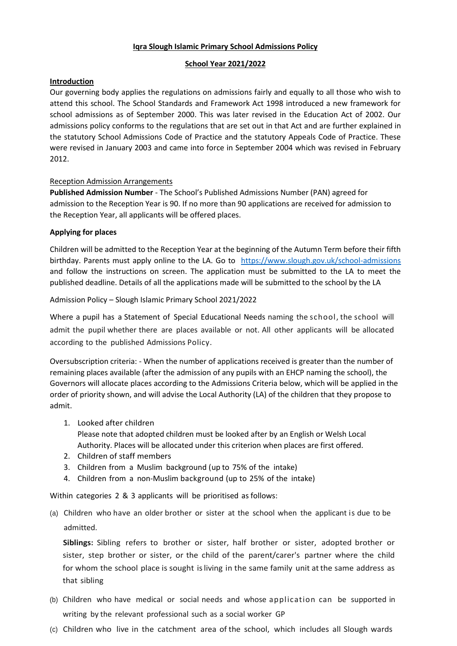### **Iqra Slough Islamic Primary School Admissions Policy**

### **School Year 2021/2022**

### **Introduction**

Our governing body applies the regulations on admissions fairly and equally to all those who wish to attend this school. The School Standards and Framework Act 1998 introduced a new framework for school admissions as of September 2000. This was later revised in the Education Act of 2002. Our admissions policy conforms to the regulations that are set out in that Act and are further explained in the statutory School Admissions Code of Practice and the statutory Appeals Code of Practice. These were revised in January 2003 and came into force in September 2004 which was revised in February 2012.

## Reception Admission Arrangements

**Published Admission Number** - The School's Published Admissions Number (PAN) agreed for admission to the Reception Year is 90. If no more than 90 applications are received for admission to the Reception Year, all applicants will be offered places.

## **Applying for places**

Children will be admitted to the Reception Year at the beginning of the Autumn Term before their fifth birthday. Parents must apply online to the LA. Go to <https://www.slough.gov.uk/school-admissions> and follow the instructions on screen. The application must be submitted to the LA to meet the published deadline. Details of all the applications made will be submitted to the school by the LA

Admission Policy – Slough Islamic Primary School 2021/2022

Where a pupil has a Statement of Special Educational Needs naming the school, the school will admit the pupil whether there are places available or not. All other applicants will be allocated according to the published Admissions Policy.

Oversubscription criteria: - When the number of applications received is greater than the number of remaining places available (after the admission of any pupils with an EHCP naming the school), the Governors will allocate places according to the Admissions Criteria below, which will be applied in the order of priority shown, and will advise the Local Authority (LA) of the children that they propose to admit.

1. Looked after children

Please note that adopted children must be looked after by an English or Welsh Local Authority. Places will be allocated under this criterion when places are first offered.

- 2. Children of staff members
- 3. Children from a Muslim background (up to 75% of the intake)
- 4. Children from a non-Muslim background (up to 25% of the intake)

Within categories 2 & 3 applicants will be prioritised as follows:

(a) Children who have an older brother or sister at the school when the applicant is due to be admitted.

**Siblings:** Sibling refers to brother or sister, half brother or sister, adopted brother or sister, step brother or sister, or the child of the parent/carer's partner where the child for whom the school place is sought isliving in the same family unit atthe same address as that sibling

- (b) Children who have medical or social needs and whose application can be supported in writing by the relevant professional such as a social worker GP
- (c) Children who live in the catchment area of the school, which includes all Slough wards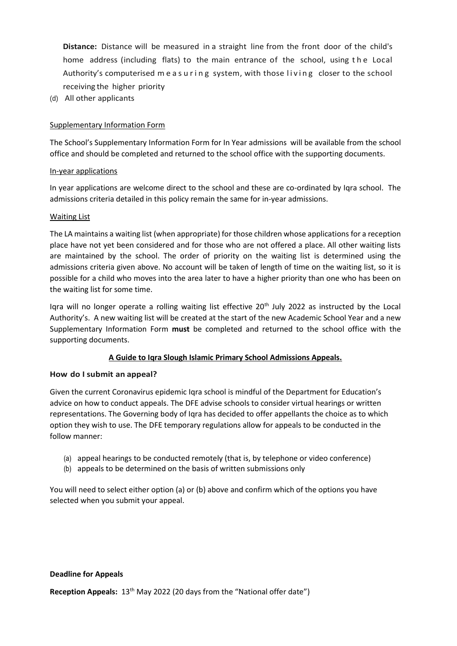**Distance:** Distance will be measured in a straight line from the front door of the child's home address (including flats) to the main entrance of the school, using the Local Authority's computerised measuring system, with those living closer to the school receiving the higher priority

(d) All other applicants

### Supplementary Information Form

The School's Supplementary Information Form for In Year admissions will be available from the school office and should be completed and returned to the school office with the supporting documents.

### In-year applications

In year applications are welcome direct to the school and these are co-ordinated by Iqra school. The admissions criteria detailed in this policy remain the same for in-year admissions.

### Waiting List

The LA maintains a waiting list (when appropriate) for those children whose applications for a reception place have not yet been considered and for those who are not offered a place. All other waiting lists are maintained by the school. The order of priority on the waiting list is determined using the admissions criteria given above. No account will be taken of length of time on the waiting list, so it is possible for a child who moves into the area later to have a higher priority than one who has been on the waiting list for some time.

Igra will no longer operate a rolling waiting list effective  $20<sup>th</sup>$  July 2022 as instructed by the Local Authority's. A new waiting list will be created at the start of the new Academic School Year and a new Supplementary Information Form **must** be completed and returned to the school office with the supporting documents.

### **A Guide to Iqra Slough Islamic Primary School Admissions Appeals.**

### **How do I submit an appeal?**

Given the current Coronavirus epidemic Iqra school is mindful of the Department for Education's advice on how to conduct appeals. The DFE advise schools to consider virtual hearings or written representations. The Governing body of Iqra has decided to offer appellants the choice as to which option they wish to use. The DFE temporary regulations allow for appeals to be conducted in the follow manner:

- (a) appeal hearings to be conducted remotely (that is, by telephone or video conference)
- (b) appeals to be determined on the basis of written submissions only

You will need to select either option (a) or (b) above and confirm which of the options you have selected when you submit your appeal.

### **Deadline for Appeals**

**Reception Appeals:** 13<sup>th</sup> May 2022 (20 days from the "National offer date")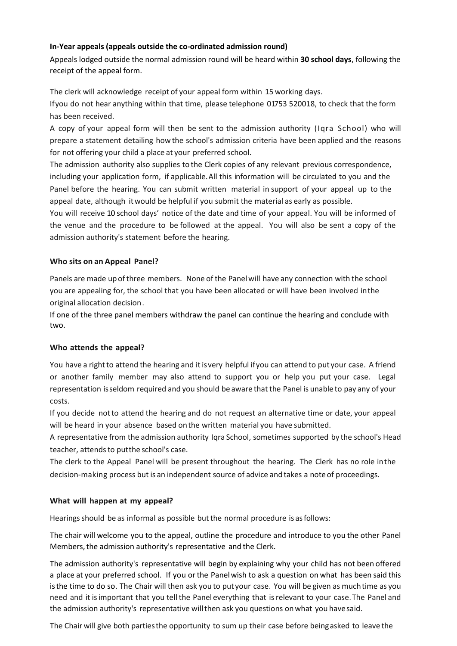# **In-Year appeals (appeals outside the co-ordinated admission round)**

Appeals lodged outside the normal admission round will be heard within **30 school days**, following the receipt of the appeal form.

The clerk will acknowledge receipt of your appeal form within 15 working days.

Ifyou do not hear anything within that time, please telephone 01753 520018, to check that the form has been received.

A copy of your appeal form will then be sent to the admission authority (Iqra School) who will prepare a statement detailing how the school's admission criteria have been applied and the reasons for not offering your child a place at your preferred school.

The admission authority also supplies to the Clerk copies of any relevant previous correspondence, including your application form, if applicable. All this information will be circulated to you and the Panel before the hearing. You can submit written material in support of your appeal up to the appeal date, although itwould be helpful if you submit the material as early as possible.

You will receive 10 school days' notice of the date and time of your appeal. You will be informed of the venue and the procedure to be followed at the appeal. You will also be sent a copy of the admission authority's statement before the hearing.

# **Who sits on an Appeal Panel?**

Panels are made upofthree members. None of the Panelwill have any connection with the school you are appealing for, the school that you have been allocated or will have been involved inthe original allocation decision.

If one of the three panel members withdraw the panel can continue the hearing and conclude with two.

# **Who attends the appeal?**

You have a right to attend the hearing and it is very helpful if you can attend to put your case. A friend or another family member may also attend to support you or help you put your case. Legal representation isseldom required and you should be aware that the Panel is unable to pay any of your costs.

If you decide notto attend the hearing and do not request an alternative time or date, your appeal will be heard in your absence based onthe written material you have submitted.

A representative from the admission authority Iqra School, sometimes supported by the school's Head teacher, attends to put the school's case.

The clerk to the Appeal Panel will be present throughout the hearing. The Clerk has no role inthe decision-making process but is an independent source of advice and takes a note of proceedings.

# **What will happen at my appeal?**

Hearings should be as informal as possible but the normal procedure is as follows:

The chair will welcome you to the appeal, outline the procedure and introduce to you the other Panel Members, the admission authority's representative and the Clerk.

The admission authority's representative will begin by explaining why your child has not been offered a place at your preferred school. If you orthe Panelwish to ask a question on what has been said this isthe time to do so. The Chair will then ask you to put your case. You will be given as muchtime as you need and it isimportant that you tell the Panel everything that isrelevant to your case.The Panel and the admission authority's representative willthen ask you questions onwhat you havesaid.

The Chair will give both partiesthe opportunity to sum up their case before beingasked to leave the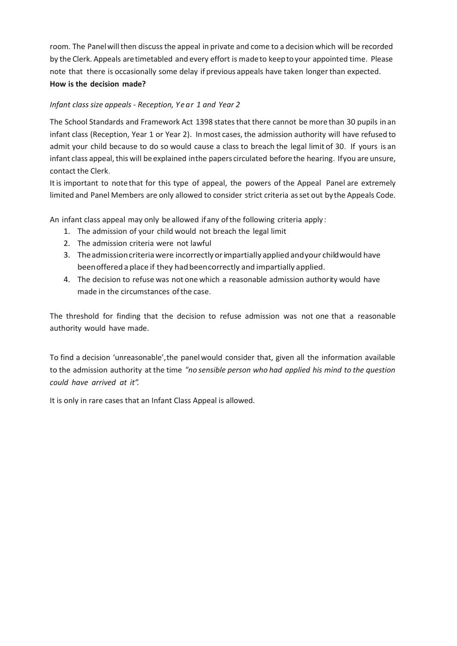room. The Panel will then discuss the appeal in private and come to a decision which will be recorded by the Clerk. Appeals aretimetabled and every effort is madeto keepto your appointed time. Please note that there is occasionally some delay if previous appeals have taken longer than expected. **How is the decision made?**

# *Infant class size appeals - Reception, Year 1 and Year 2*

The School Standards and Framework Act 1398 states that there cannot be more than 30 pupils in an infant class (Reception, Year 1 or Year 2). Inmost cases, the admission authority will have refused to admit your child because to do so would cause a class to breach the legal limit of 30. If yours is an infant class appeal, this will be explained inthe papers circulated before the hearing. If you are unsure, contact the Clerk.

Itis important to note that for this type of appeal, the powers of the Appeal Panel are extremely limited and Panel Members are only allowed to consider strict criteria asset out bythe Appeals Code.

An infant class appeal may only be allowed ifany ofthe following criteria apply:

- 1. The admission of your child would not breach the legal limit
- 2. The admission criteria were not lawful
- 3. Theadmissioncriteriawere incorrectlyorimpartially applied andyour childwould have been offered a place if they had been correctly and impartially applied.
- 4. The decision to refuse was not one which a reasonable admission authority would have made in the circumstances ofthe case.

The threshold for finding that the decision to refuse admission was not one that a reasonable authority would have made.

To find a decision 'unreasonable',the panelwould consider that, given all the information available to the admission authority at the time *"no sensible person who had applied his mind to the question could have arrived at it".*

It is only in rare cases that an Infant Class Appeal is allowed.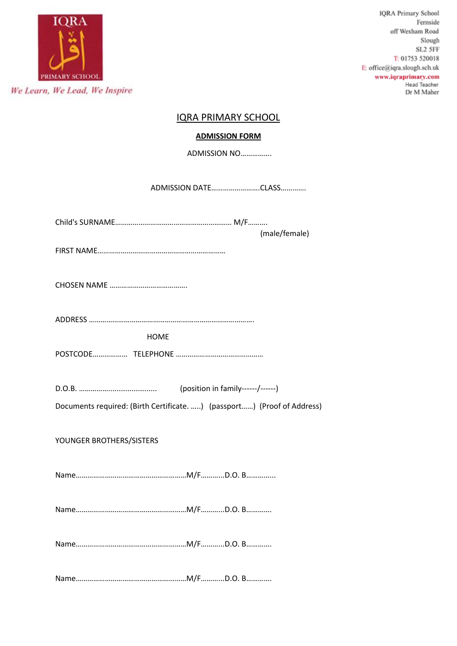

# IQRA PRIMARY SCHOOL

# **ADMISSION FORM**

ADMISSION NO…………….

ADMISSION DATE…………………….CLASS………….

Child's SURNAME…………………………………………………… M/F………. (male/female)

FIRST NAME…………………………………………………………

CHOSEN NAME ………………………………….

ADDRESS ………………………………………………………………………….

HOME

POSTCODE……………… TELEPHONE ………………………………………

D.O.B. ……………....................... (position in family------/------)

Documents required: (Birth Certificate. …..) (passport……) (Proof of Address)

YOUNGER BROTHERS/SISTERS

Name…………………………………………………M/F………...D.O. B…………...

Name…………………………………………………M/F………...D.O. B………….

Name…………………………………………………M/F………...D.O. B………….

Name…………………………………………………M/F………...D.O. B………….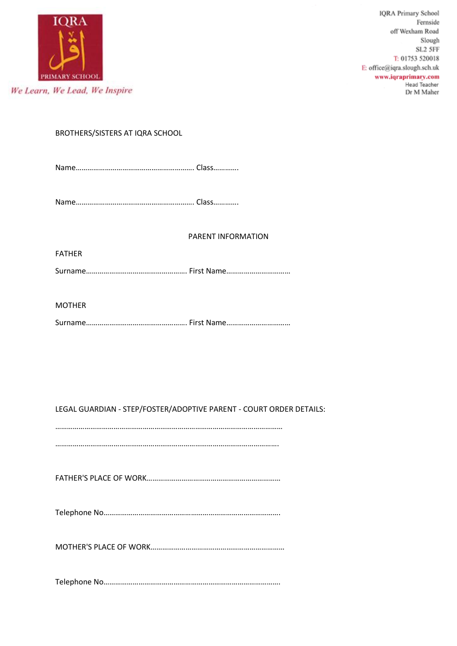

BROTHERS/SISTERS AT IQRA SCHOOL

Name……………………………………………………. Class………….

Name……………………………………………………. Class………….

### PARENT INFORMATION

FATHER

Surname……………………………………………. First Name……………………………

MOTHER

Surname……………………………………………. First Name……………………………

LEGAL GUARDIAN - STEP/FOSTER/ADOPTIVE PARENT - COURT ORDER DETAILS:

………………………………………………………………………………………………………

…………………………………………………………………………………………………….

FATHER'S PLACE OF WORK……………………………………………………………

Telephone No……………………………………………………………………………….

MOTHER'S PLACE OF WORK……………………………………………………………

Telephone No……………………………………………………………………………….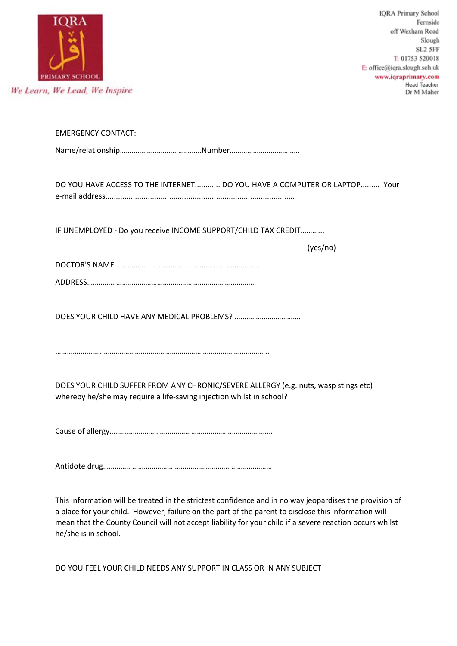

| <b>EMERGENCY CONTACT:</b>                                                                               |
|---------------------------------------------------------------------------------------------------------|
|                                                                                                         |
|                                                                                                         |
| DO YOU HAVE ACCESS TO THE INTERNET DO YOU HAVE A COMPUTER OR LAPTOP Your                                |
|                                                                                                         |
| IF UNEMPLOYED - Do you receive INCOME SUPPORT/CHILD TAX CREDIT                                          |
| (yes/no)                                                                                                |
|                                                                                                         |
|                                                                                                         |
|                                                                                                         |
|                                                                                                         |
|                                                                                                         |
|                                                                                                         |
|                                                                                                         |
| DOES YOUR CHILD SUFFER FROM ANY CHRONIC/SEVERE ALLERGY (e.g. nuts, wasp stings etc)                     |
| whereby he/she may require a life-saving injection whilst in school?                                    |
|                                                                                                         |
|                                                                                                         |
|                                                                                                         |
|                                                                                                         |
|                                                                                                         |
| This information will be treated in the strictest confidence and in no way jeopardises the provision of |

a place for your child. However, failure on the part of the parent to disclose this information will mean that the County Council will not accept liability for your child if a severe reaction occurs whilst he/she is in school.

DO YOU FEEL YOUR CHILD NEEDS ANY SUPPORT IN CLASS OR IN ANY SUBJECT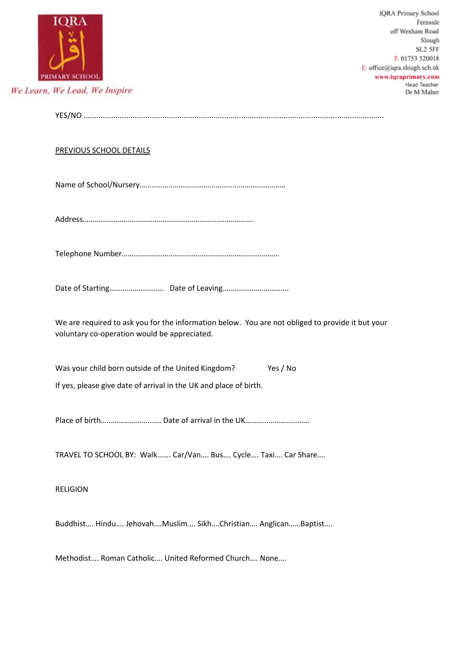|                                                                                                                                                  | <b>IQRA Primary School</b><br>Fernside<br>off Wexham Road<br>Slough<br>SL2 5FF<br>T: 01753 520018<br>E: office@iqra.slough.sch.uk<br>www.iqraprimary.com<br>Head Teacher |
|--------------------------------------------------------------------------------------------------------------------------------------------------|--------------------------------------------------------------------------------------------------------------------------------------------------------------------------|
| We Learn, We Lead, We Inspire                                                                                                                    | Dr M Maher                                                                                                                                                               |
|                                                                                                                                                  |                                                                                                                                                                          |
| <b>PREVIOUS SCHOOL DETAILS</b>                                                                                                                   |                                                                                                                                                                          |
|                                                                                                                                                  |                                                                                                                                                                          |
|                                                                                                                                                  |                                                                                                                                                                          |
|                                                                                                                                                  |                                                                                                                                                                          |
|                                                                                                                                                  |                                                                                                                                                                          |
| We are required to ask you for the information below. You are not obliged to provide it but your<br>voluntary co-operation would be appreciated. |                                                                                                                                                                          |
| Yes / No<br>Was your child born outside of the United Kingdom?                                                                                   |                                                                                                                                                                          |
| If yes, please give date of arrival in the UK and place of birth.                                                                                |                                                                                                                                                                          |
|                                                                                                                                                  |                                                                                                                                                                          |
| TRAVEL TO SCHOOL BY: Walk Car/Van Bus Cycle Taxi Car Share                                                                                       |                                                                                                                                                                          |
| <b>RELIGION</b>                                                                                                                                  |                                                                                                                                                                          |
| Buddhist Hindu JehovahMuslim SikhChristian AnglicanBaptist                                                                                       |                                                                                                                                                                          |
| Methodist Roman Catholic United Reformed Church None                                                                                             |                                                                                                                                                                          |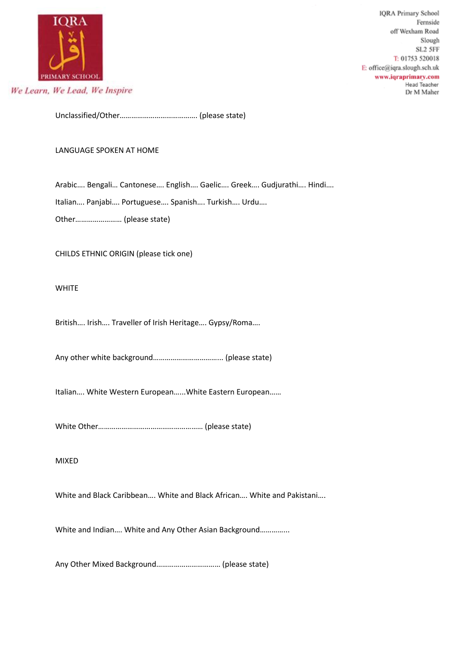

Unclassified/Other…………………………………. (please state)

### LANGUAGE SPOKEN AT HOME

Arabic…. Bengali… Cantonese…. English…. Gaelic…. Greek…. Gudjurathi…. Hindi….

Italian…. Panjabi…. Portuguese…. Spanish…. Turkish…. Urdu….

Other…………………… (please state)

CHILDS ETHNIC ORIGIN (please tick one)

### WHITE

British…. Irish…. Traveller of Irish Heritage…. Gypsy/Roma….

Any other white background……………………………... (please state)

Italian…. White Western European…...White Eastern European……

White Other……………………………………………… (please state)

### MIXED

White and Black Caribbean…. White and Black African…. White and Pakistani….

White and Indian…. White and Any Other Asian Background…………...

Any Other Mixed Background…………………………… (please state)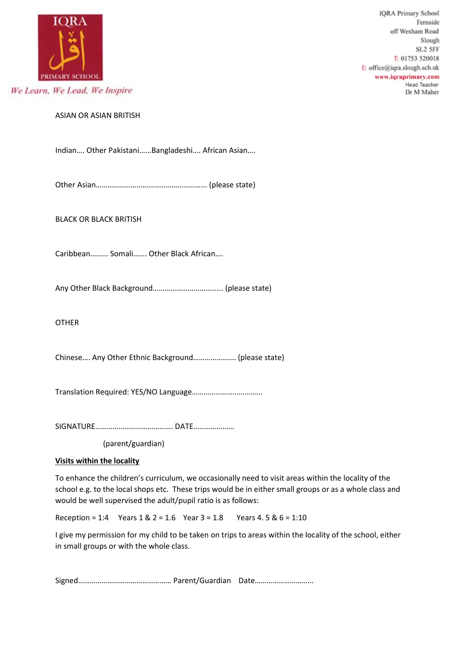

ASIAN OR ASIAN BRITISH

Indian…. Other Pakistani…...Bangladeshi…. African Asian….

Other Asian………………………………………………... (please state)

BLACK OR BLACK BRITISH

Caribbean……... Somali……. Other Black African….

Any Other Black Background……………………………... (please state)

OTHER

Chinese…. Any Other Ethnic Background……………….… (please state)

Translation Required: YES/NO Language……………………………...

SIGNATURE…………………………………. DATE…………………

(parent/guardian)

### **Visits within the locality**

To enhance the children's curriculum, we occasionally need to visit areas within the locality of the school e.g. to the local shops etc. These trips would be in either small groups or as a whole class and would be well supervised the adult/pupil ratio is as follows:

Reception = 1:4 Years  $1 \& 2 = 1.6$  Year  $3 = 1.8$  Years  $4.5 \& 6 = 1:10$ 

I give my permission for my child to be taken on trips to areas within the locality of the school, either in small groups or with the whole class.

Signed………………………………………… Parent/Guardian Date………………………...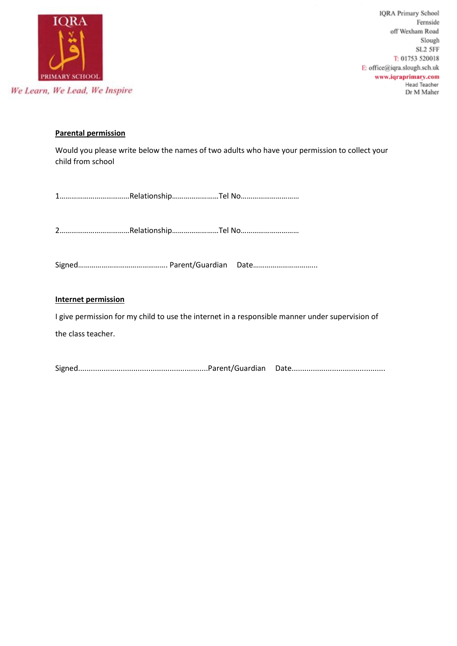

# **Parental permission**

Would you please write below the names of two adults who have your permission to collect your child from school

1………………………………Relationship……………………Tel No…………………………

2………………………………Relationship……………………Tel No…………………………

Signed………………………………………. Parent/Guardian Date…………………………...

## **Internet permission**

I give permission for my child to use the internet in a responsible manner under supervision of the class teacher.

Signed.............................................................Parent/Guardian Date............................................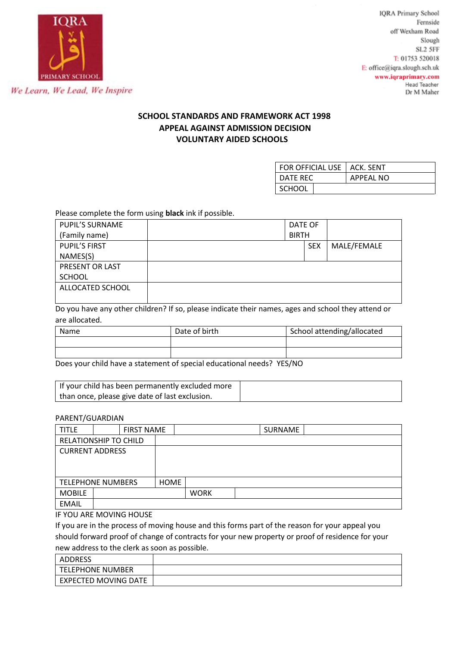

# **SCHOOL STANDARDS AND FRAMEWORK ACT 1998 APPEAL AGAINST ADMISSION DECISION VOLUNTARY AIDED SCHOOLS**

| FOR OFFICIAL USE   ACK. SENT |                  |
|------------------------------|------------------|
| DATE REC                     | <b>APPEAL NO</b> |
| <b>SCHOOL</b>                |                  |

Please complete the form using **black** ink if possible.

| PUPIL'S SURNAME      | DATE OF      |  |            |             |
|----------------------|--------------|--|------------|-------------|
| (Family name)        | <b>BIRTH</b> |  |            |             |
| <b>PUPIL'S FIRST</b> |              |  | <b>SEX</b> | MALE/FEMALE |
| NAMES(S)             |              |  |            |             |
| PRESENT OR LAST      |              |  |            |             |
| <b>SCHOOL</b>        |              |  |            |             |
| ALLOCATED SCHOOL     |              |  |            |             |
|                      |              |  |            |             |

Do you have any other children? If so, please indicate their names, ages and school they attend or are allocated.

| Name | Date of birth | School attending/allocated |
|------|---------------|----------------------------|
|      |               |                            |
|      |               |                            |

Does your child have a statement of special educational needs? YES/NO

| If your child has been permanently excluded more |  |
|--------------------------------------------------|--|
| than once, please give date of last exclusion.   |  |

### PARENT/GUARDIAN

| <b>TITLE</b>             |                              | <b>FIRST NAME</b> |             |  | SURNAME |  |
|--------------------------|------------------------------|-------------------|-------------|--|---------|--|
|                          | <b>RELATIONSHIP TO CHILD</b> |                   |             |  |         |  |
|                          | <b>CURRENT ADDRESS</b>       |                   |             |  |         |  |
|                          |                              |                   |             |  |         |  |
|                          |                              |                   |             |  |         |  |
| <b>TELEPHONE NUMBERS</b> |                              | <b>HOME</b>       |             |  |         |  |
| <b>MOBILE</b>            |                              |                   | <b>WORK</b> |  |         |  |
| <b>EMAIL</b>             |                              |                   |             |  |         |  |

IF YOU ARE MOVING HOUSE

If you are in the process of moving house and this forms part of the reason for your appeal you should forward proof of change of contracts for your new property or proof of residence for your new address to the clerk as soon as possible.

| <b>ADDRESS</b>       |  |
|----------------------|--|
| TELEPHONE NUMBER     |  |
| EXPECTED MOVING DATE |  |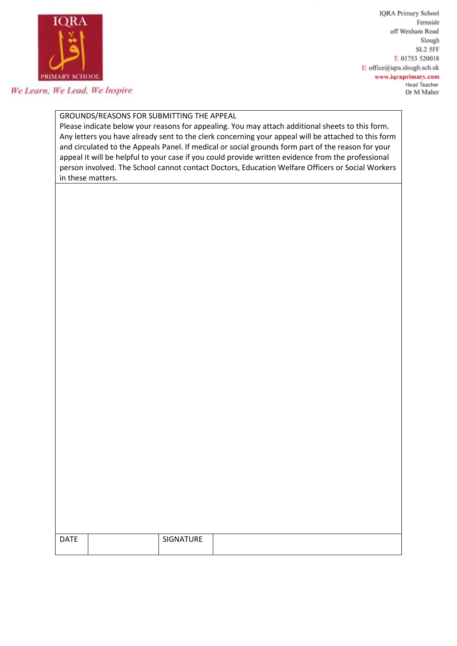

We Learn, We Lead, We Inspire

**IQRA Primary School** Fernside off Wexham Road Slough SL2 5FF T: 01753 520018 E: office@iqra.slough.sch.uk www.iqraprimary.com Head Teacher Dr M Maher

# GROUNDS/REASONS FOR SUBMITTING THE APPEAL

Please indicate below your reasons for appealing. You may attach additional sheets to this form. Any letters you have already sent to the clerk concerning your appeal will be attached to this form and circulated to the Appeals Panel. If medical or social grounds form part of the reason for your appeal it will be helpful to your case if you could provide written evidence from the professional person involved. The School cannot contact Doctors, Education Welfare Officers or Social Workers in these matters.

| <b>DATE</b> | SIGNATURE |  |
|-------------|-----------|--|
|             |           |  |